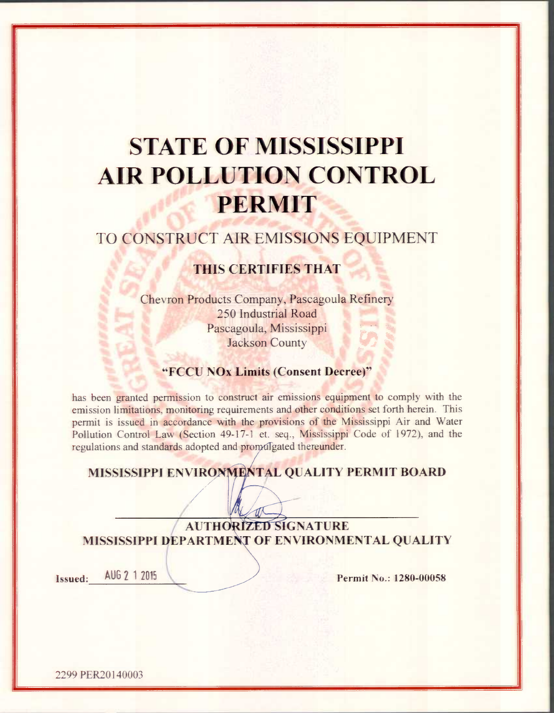# **STATE OF MISSISSIPPI AIR POLLUTION CONTROL PERMIT**

### TO CONSTRUCT AIR EMISSIONS EQUIPMENT

### **THIS CERTIFIES THAT**

Chevron Products Company, Pascagoula Refinery 250 Industrial Road Pascagoula, Mississippi **Jackson County** 

### "FCCU NOx Limits (Consent Decree)"

has been granted permission to construct air emissions equipment to comply with the emission limitations, monitoring requirements and other conditions set forth herein. This permit is issued in accordance with the provisions of the Mississippi Air and Water Pollution Control Law (Section 49-17-1 et. seq., Mississippi Code of 1972), and the regulations and standards adopted and promalgated thereunder.

### MISSISSIPPI ENVIRONMENTAL QUALITY PERMIT BOARD

### **AUTHORIZED SIGNATURE** MISSISSIPPI DEPARTMENT OF ENVIRONMENTAL QUALITY

**Issued:** 

AUG 2 1 2015

Permit No.: 1280-00058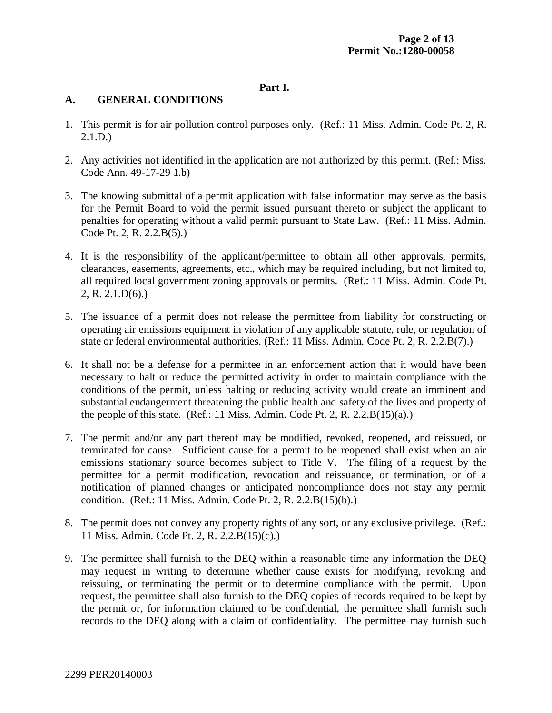### **Part I.**

### **A. GENERAL CONDITIONS**

- 1. This permit is for air pollution control purposes only. (Ref.: 11 Miss. Admin. Code Pt. 2, R. 2.1.D.)
- 2. Any activities not identified in the application are not authorized by this permit. (Ref.: Miss. Code Ann. 49-17-29 1.b)
- 3. The knowing submittal of a permit application with false information may serve as the basis for the Permit Board to void the permit issued pursuant thereto or subject the applicant to penalties for operating without a valid permit pursuant to State Law. (Ref.: 11 Miss. Admin. Code Pt. 2, R. 2.2.B(5).)
- 4. It is the responsibility of the applicant/permittee to obtain all other approvals, permits, clearances, easements, agreements, etc., which may be required including, but not limited to, all required local government zoning approvals or permits. (Ref.: 11 Miss. Admin. Code Pt. 2, R. 2.1.D(6).)
- 5. The issuance of a permit does not release the permittee from liability for constructing or operating air emissions equipment in violation of any applicable statute, rule, or regulation of state or federal environmental authorities. (Ref.: 11 Miss. Admin. Code Pt. 2, R. 2.2.B(7).)
- 6. It shall not be a defense for a permittee in an enforcement action that it would have been necessary to halt or reduce the permitted activity in order to maintain compliance with the conditions of the permit, unless halting or reducing activity would create an imminent and substantial endangerment threatening the public health and safety of the lives and property of the people of this state. (Ref.: 11 Miss. Admin. Code Pt. 2, R. 2.2. $B(15)(a)$ .)
- 7. The permit and/or any part thereof may be modified, revoked, reopened, and reissued, or terminated for cause. Sufficient cause for a permit to be reopened shall exist when an air emissions stationary source becomes subject to Title V. The filing of a request by the permittee for a permit modification, revocation and reissuance, or termination, or of a notification of planned changes or anticipated noncompliance does not stay any permit condition. (Ref.: 11 Miss. Admin. Code Pt. 2, R. 2.2.B(15)(b).)
- 8. The permit does not convey any property rights of any sort, or any exclusive privilege. (Ref.: 11 Miss. Admin. Code Pt. 2, R. 2.2.B(15)(c).)
- 9. The permittee shall furnish to the DEQ within a reasonable time any information the DEQ may request in writing to determine whether cause exists for modifying, revoking and reissuing, or terminating the permit or to determine compliance with the permit. Upon request, the permittee shall also furnish to the DEQ copies of records required to be kept by the permit or, for information claimed to be confidential, the permittee shall furnish such records to the DEQ along with a claim of confidentiality. The permittee may furnish such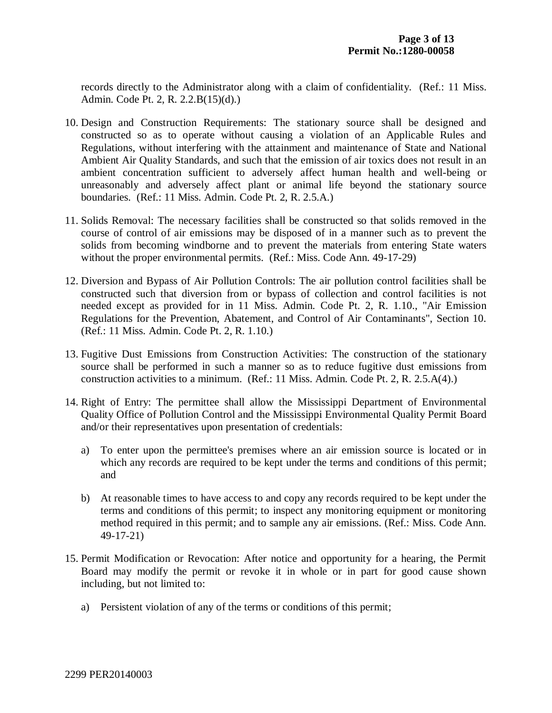records directly to the Administrator along with a claim of confidentiality. (Ref.: 11 Miss. Admin. Code Pt. 2, R. 2.2.B(15)(d).)

- 10. Design and Construction Requirements: The stationary source shall be designed and constructed so as to operate without causing a violation of an Applicable Rules and Regulations, without interfering with the attainment and maintenance of State and National Ambient Air Quality Standards, and such that the emission of air toxics does not result in an ambient concentration sufficient to adversely affect human health and well-being or unreasonably and adversely affect plant or animal life beyond the stationary source boundaries. (Ref.: 11 Miss. Admin. Code Pt. 2, R. 2.5.A.)
- 11. Solids Removal: The necessary facilities shall be constructed so that solids removed in the course of control of air emissions may be disposed of in a manner such as to prevent the solids from becoming windborne and to prevent the materials from entering State waters without the proper environmental permits. (Ref.: Miss. Code Ann. 49-17-29)
- 12. Diversion and Bypass of Air Pollution Controls: The air pollution control facilities shall be constructed such that diversion from or bypass of collection and control facilities is not needed except as provided for in 11 Miss. Admin. Code Pt. 2, R. 1.10., "Air Emission Regulations for the Prevention, Abatement, and Control of Air Contaminants", Section 10. (Ref.: 11 Miss. Admin. Code Pt. 2, R. 1.10.)
- 13. Fugitive Dust Emissions from Construction Activities: The construction of the stationary source shall be performed in such a manner so as to reduce fugitive dust emissions from construction activities to a minimum. (Ref.: 11 Miss. Admin. Code Pt. 2, R. 2.5.A(4).)
- 14. Right of Entry: The permittee shall allow the Mississippi Department of Environmental Quality Office of Pollution Control and the Mississippi Environmental Quality Permit Board and/or their representatives upon presentation of credentials:
	- a) To enter upon the permittee's premises where an air emission source is located or in which any records are required to be kept under the terms and conditions of this permit; and
	- b) At reasonable times to have access to and copy any records required to be kept under the terms and conditions of this permit; to inspect any monitoring equipment or monitoring method required in this permit; and to sample any air emissions. (Ref.: Miss. Code Ann. 49-17-21)
- 15. Permit Modification or Revocation: After notice and opportunity for a hearing, the Permit Board may modify the permit or revoke it in whole or in part for good cause shown including, but not limited to:
	- a) Persistent violation of any of the terms or conditions of this permit;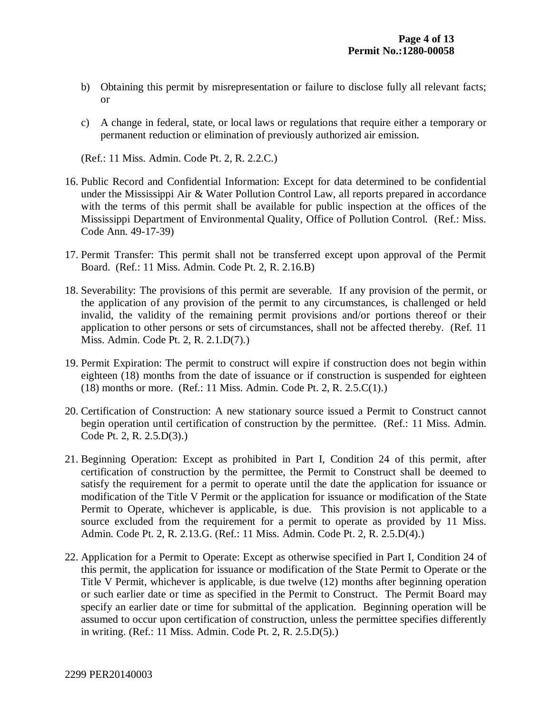- b) Obtaining this permit by misrepresentation or failure to disclose fully all relevant facts; or
- c) A change in federal, state, or local laws or regulations that require either a temporary or permanent reduction or elimination of previously authorized air emission.

(Ref.: 11 Miss. Admin. Code Pt. 2, R. 2.2.C.)

- 16. Public Record and Confidential Information: Except for data determined to be confidential under the Mississippi Air & Water Pollution Control Law, all reports prepared in accordance with the terms of this permit shall be available for public inspection at the offices of the Mississippi Department of Environmental Quality, Office of Pollution Control. (Ref.: Miss. Code Ann. 49-17-39)
- 17. Permit Transfer: This permit shall not be transferred except upon approval of the Permit Board. (Ref.: 11 Miss. Admin. Code Pt. 2, R. 2.16.B)
- 18. Severability: The provisions of this permit are severable. If any provision of the permit, or the application of any provision of the permit to any circumstances, is challenged or held invalid, the validity of the remaining permit provisions and/or portions thereof or their application to other persons or sets of circumstances, shall not be affected thereby. (Ref. 11 Miss. Admin. Code Pt. 2, R. 2.1.D(7).)
- 19. Permit Expiration: The permit to construct will expire if construction does not begin within eighteen (18) months from the date of issuance or if construction is suspended for eighteen (18) months or more. (Ref.: 11 Miss. Admin. Code Pt. 2, R. 2.5.C(1).)
- 20. Certification of Construction: A new stationary source issued a Permit to Construct cannot begin operation until certification of construction by the permittee. (Ref.: 11 Miss. Admin. Code Pt. 2, R. 2.5.D(3).)
- 21. Beginning Operation: Except as prohibited in Part I, Condition 24 of this permit, after certification of construction by the permittee, the Permit to Construct shall be deemed to satisfy the requirement for a permit to operate until the date the application for issuance or modification of the Title V Permit or the application for issuance or modification of the State Permit to Operate, whichever is applicable, is due. This provision is not applicable to a source excluded from the requirement for a permit to operate as provided by 11 Miss. Admin. Code Pt. 2, R. 2.13.G. (Ref.: 11 Miss. Admin. Code Pt. 2, R. 2.5.D(4).)
- 22. Application for a Permit to Operate: Except as otherwise specified in Part I, Condition 24 of this permit, the application for issuance or modification of the State Permit to Operate or the Title V Permit, whichever is applicable, is due twelve (12) months after beginning operation or such earlier date or time as specified in the Permit to Construct. The Permit Board may specify an earlier date or time for submittal of the application. Beginning operation will be assumed to occur upon certification of construction, unless the permittee specifies differently in writing. (Ref.: 11 Miss. Admin. Code Pt. 2, R. 2.5.D(5).)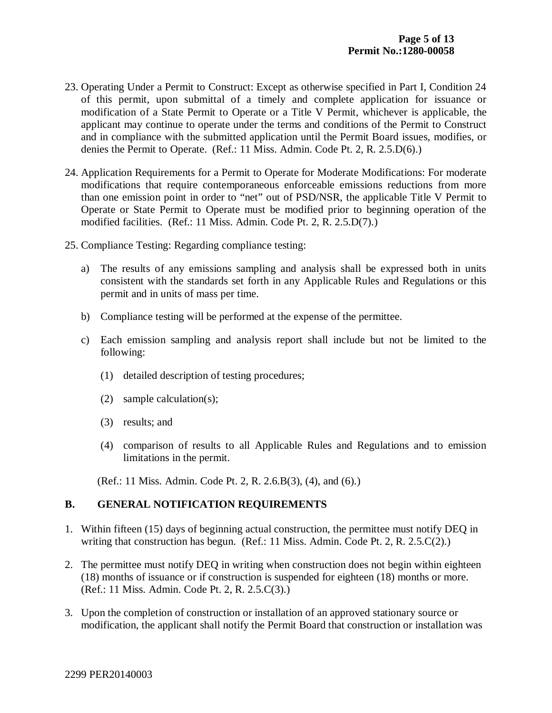- 23. Operating Under a Permit to Construct: Except as otherwise specified in Part I, Condition 24 of this permit, upon submittal of a timely and complete application for issuance or modification of a State Permit to Operate or a Title V Permit, whichever is applicable, the applicant may continue to operate under the terms and conditions of the Permit to Construct and in compliance with the submitted application until the Permit Board issues, modifies, or denies the Permit to Operate. (Ref.: 11 Miss. Admin. Code Pt. 2, R. 2.5.D(6).)
- 24. Application Requirements for a Permit to Operate for Moderate Modifications: For moderate modifications that require contemporaneous enforceable emissions reductions from more than one emission point in order to "net" out of PSD/NSR, the applicable Title V Permit to Operate or State Permit to Operate must be modified prior to beginning operation of the modified facilities. (Ref.: 11 Miss. Admin. Code Pt. 2, R. 2.5.D(7).)
- 25. Compliance Testing: Regarding compliance testing:
	- a) The results of any emissions sampling and analysis shall be expressed both in units consistent with the standards set forth in any Applicable Rules and Regulations or this permit and in units of mass per time.
	- b) Compliance testing will be performed at the expense of the permittee.
	- c) Each emission sampling and analysis report shall include but not be limited to the following:
		- (1) detailed description of testing procedures;
		- (2) sample calculation(s);
		- (3) results; and
		- (4) comparison of results to all Applicable Rules and Regulations and to emission limitations in the permit.

(Ref.: 11 Miss. Admin. Code Pt. 2, R. 2.6.B(3), (4), and (6).)

### **B. GENERAL NOTIFICATION REQUIREMENTS**

- 1. Within fifteen (15) days of beginning actual construction, the permittee must notify DEQ in writing that construction has begun. (Ref.: 11 Miss. Admin. Code Pt. 2, R. 2.5.C(2).)
- 2. The permittee must notify DEQ in writing when construction does not begin within eighteen (18) months of issuance or if construction is suspended for eighteen (18) months or more. (Ref.: 11 Miss. Admin. Code Pt. 2, R. 2.5.C(3).)
- 3. Upon the completion of construction or installation of an approved stationary source or modification, the applicant shall notify the Permit Board that construction or installation was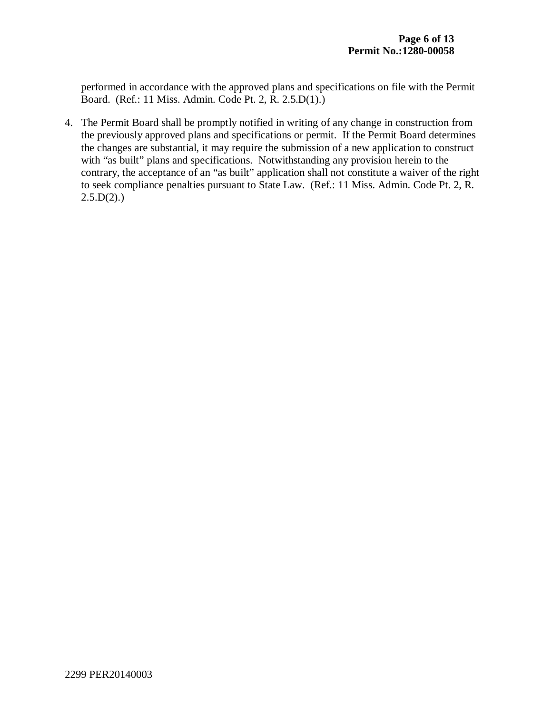performed in accordance with the approved plans and specifications on file with the Permit Board. (Ref.: 11 Miss. Admin. Code Pt. 2, R. 2.5.D(1).)

4. The Permit Board shall be promptly notified in writing of any change in construction from the previously approved plans and specifications or permit. If the Permit Board determines the changes are substantial, it may require the submission of a new application to construct with "as built" plans and specifications. Notwithstanding any provision herein to the contrary, the acceptance of an "as built" application shall not constitute a waiver of the right to seek compliance penalties pursuant to State Law. (Ref.: 11 Miss. Admin. Code Pt. 2, R.  $2.5.D(2).$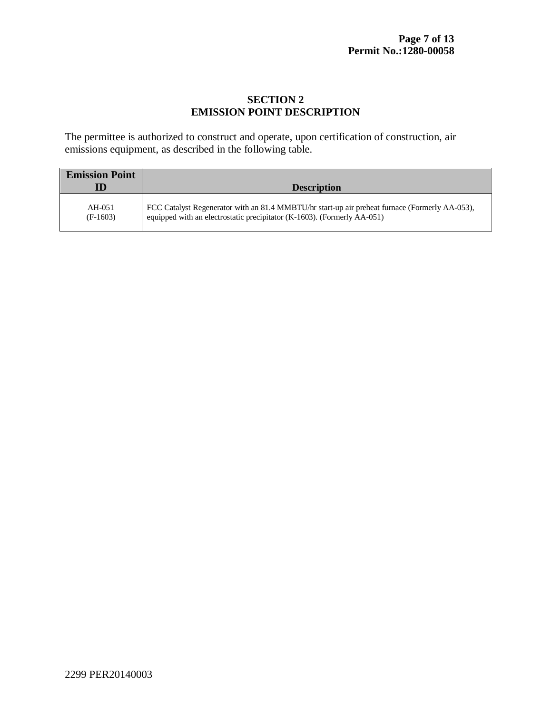### **SECTION 2 EMISSION POINT DESCRIPTION**

The permittee is authorized to construct and operate, upon certification of construction, air emissions equipment, as described in the following table.

| <b>Emission Point</b><br>ID | <b>Description</b>                                                                             |
|-----------------------------|------------------------------------------------------------------------------------------------|
| AH-051                      | FCC Catalyst Regenerator with an 81.4 MMBTU/hr start-up air preheat furnace (Formerly AA-053), |
| $(F-1603)$                  | equipped with an electrostatic precipitator (K-1603). (Formerly AA-051)                        |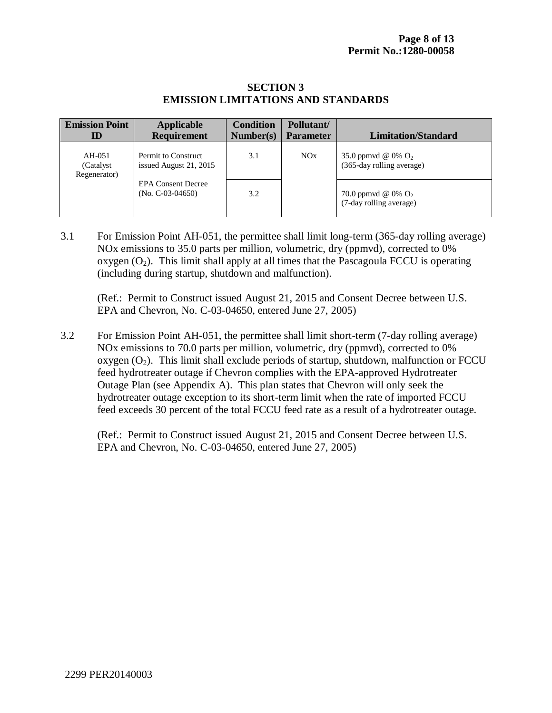### **SECTION 3 EMISSION LIMITATIONS AND STANDARDS**

| <b>Emission Point</b><br>ID          | <b>Applicable</b><br><b>Requirement</b>         | <b>Condition</b><br>Number(s) | Pollutant/<br><b>Parameter</b> | <b>Limitation/Standard</b>                         |
|--------------------------------------|-------------------------------------------------|-------------------------------|--------------------------------|----------------------------------------------------|
| AH-051<br>(Catalyst)<br>Regenerator) | Permit to Construct<br>issued August 21, 2015   | 3.1                           | NOx                            | 35.0 ppmvd @ 0% $O_2$<br>(365-day rolling average) |
|                                      | <b>EPA Consent Decree</b><br>$(No. C-03-04650)$ | 3.2                           |                                | 70.0 ppmvd @ 0% $O_2$<br>(7-day rolling average)   |

3.1 For Emission Point AH-051, the permittee shall limit long-term (365-day rolling average) NOx emissions to 35.0 parts per million, volumetric, dry (ppmvd), corrected to 0% oxygen  $(O_2)$ . This limit shall apply at all times that the Pascagoula FCCU is operating (including during startup, shutdown and malfunction).

(Ref.: Permit to Construct issued August 21, 2015 and Consent Decree between U.S. EPA and Chevron, No. C-03-04650, entered June 27, 2005)

3.2 For Emission Point AH-051, the permittee shall limit short-term (7-day rolling average) NOx emissions to 70.0 parts per million, volumetric, dry (ppmvd), corrected to 0% oxygen  $(O_2)$ . This limit shall exclude periods of startup, shutdown, malfunction or FCCU feed hydrotreater outage if Chevron complies with the EPA-approved Hydrotreater Outage Plan (see Appendix A). This plan states that Chevron will only seek the hydrotreater outage exception to its short-term limit when the rate of imported FCCU feed exceeds 30 percent of the total FCCU feed rate as a result of a hydrotreater outage.

(Ref.: Permit to Construct issued August 21, 2015 and Consent Decree between U.S. EPA and Chevron, No. C-03-04650, entered June 27, 2005)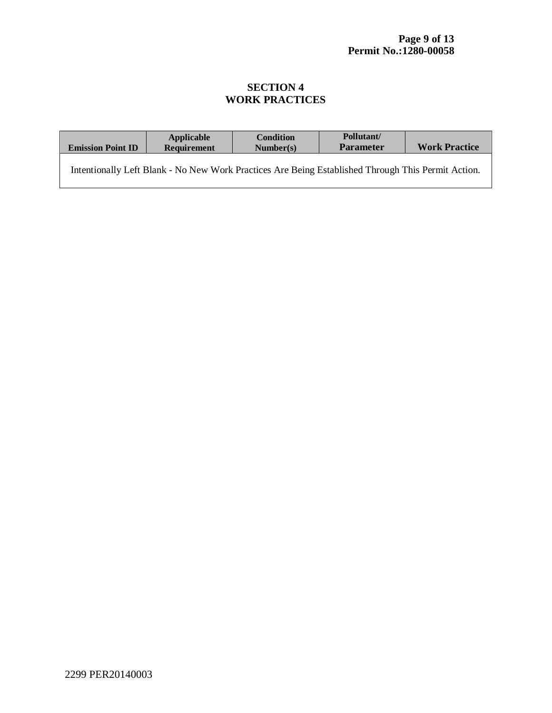### **SECTION 4 WORK PRACTICES**

| <b>Emission Point ID</b>                                                                           | <b>Applicable</b><br><b>Requirement</b> | <b>Condition</b><br>Number(s) | Pollutant/<br><b>Parameter</b> | <b>Work Practice</b> |  |  |
|----------------------------------------------------------------------------------------------------|-----------------------------------------|-------------------------------|--------------------------------|----------------------|--|--|
| Intentionally Left Blank - No New Work Practices Are Being Established Through This Permit Action. |                                         |                               |                                |                      |  |  |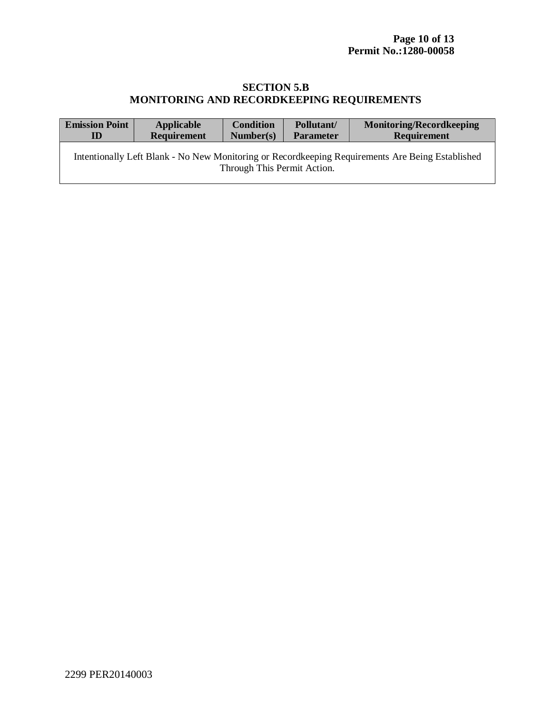### **SECTION 5.B MONITORING AND RECORDKEEPING REQUIREMENTS**

| <b>Emission Point</b>                                                                                                           | <b>Applicable</b>  | <b>Condition</b> | Pollutant/       | <b>Monitoring/Recordkeeping</b> |  |
|---------------------------------------------------------------------------------------------------------------------------------|--------------------|------------------|------------------|---------------------------------|--|
| ID                                                                                                                              | <b>Requirement</b> | Number(s)        | <b>Parameter</b> | <b>Requirement</b>              |  |
| Intentionally Left Blank - No New Monitoring or Recordkeeping Requirements Are Being Established<br>Through This Permit Action. |                    |                  |                  |                                 |  |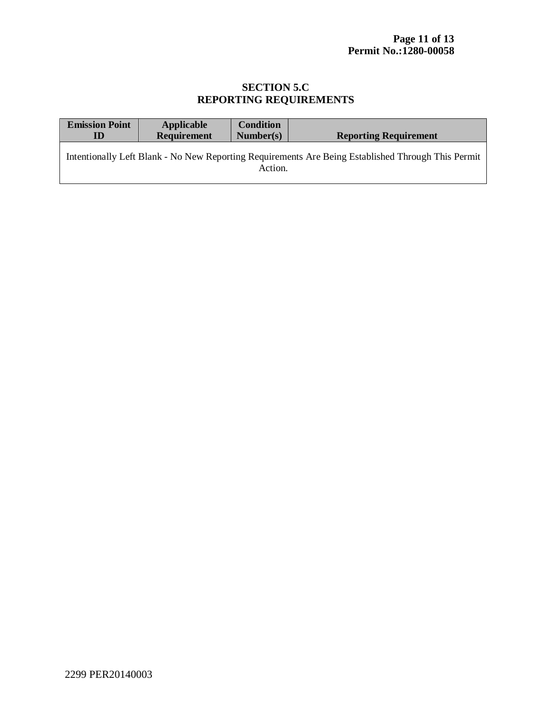### **SECTION 5.C REPORTING REQUIREMENTS**

| <b>Emission Point</b> | Applicable         | <b>Condition</b> | <b>Reporting Requirement</b>                                                                       |
|-----------------------|--------------------|------------------|----------------------------------------------------------------------------------------------------|
| ID                    | <b>Requirement</b> | Number(s)        |                                                                                                    |
|                       |                    | Action.          | Intentionally Left Blank - No New Reporting Requirements Are Being Established Through This Permit |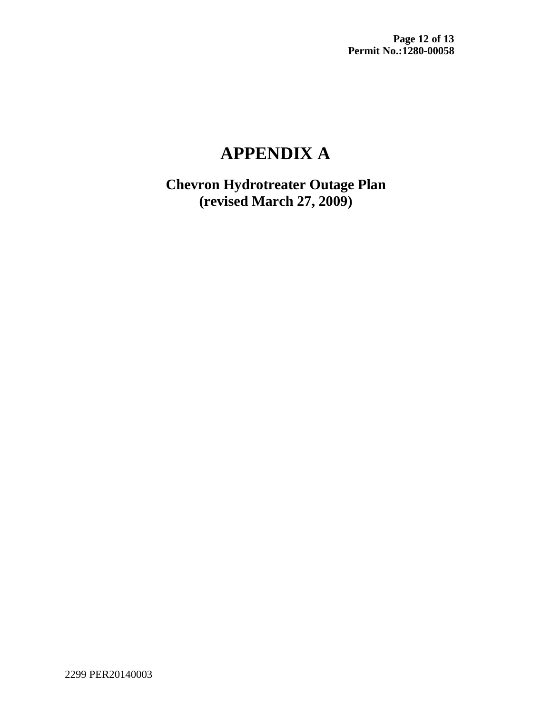## **APPENDIX A**

**Chevron Hydrotreater Outage Plan (revised March 27, 2009)**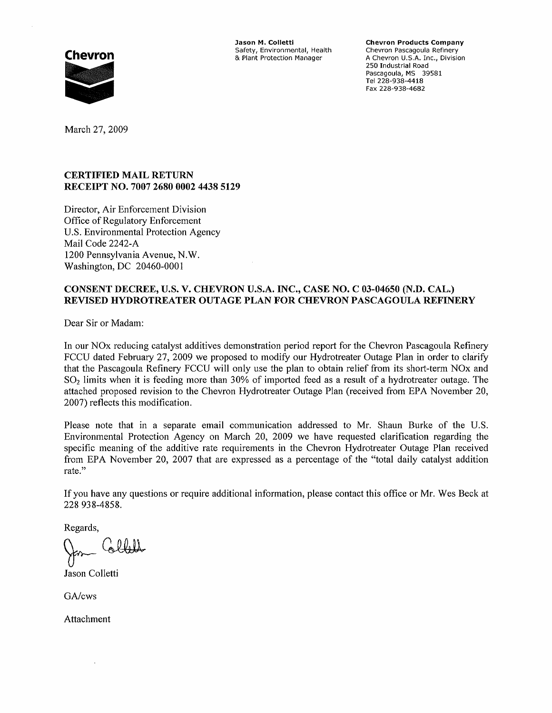

Jason M. Colletti Safety, Environmental, Health & Plant Protection Manager

**Chevron Products Company** Chevron Pascagoula Refinery A Chevron U.S.A. Inc., Division 250 Industrial Road Pascagoula, MS 39581 Tel 228-938-4418 Fax 228-938-4682

March 27, 2009

### **CERTIFIED MAIL RETURN** RECEIPT NO. 7007 2680 0002 4438 5129

Director, Air Enforcement Division Office of Regulatory Enforcement U.S. Environmental Protection Agency Mail Code 2242-A 1200 Pennsylvania Avenue, N.W. Washington, DC 20460-0001

### CONSENT DECREE, U.S. V. CHEVRON U.S.A. INC., CASE NO. C 03-04650 (N.D. CAL.) REVISED HYDROTREATER OUTAGE PLAN FOR CHEVRON PASCAGOULA REFINERY

Dear Sir or Madam:

In our NO<sub>x</sub> reducing catalyst additives demonstration period report for the Chevron Pascagoula Refinery FCCU dated February 27, 2009 we proposed to modify our Hydrotreater Outage Plan in order to clarify that the Pascagoula Refinery FCCU will only use the plan to obtain relief from its short-term NOx and SO<sub>2</sub> limits when it is feeding more than 30% of imported feed as a result of a hydrotreater outage. The attached proposed revision to the Chevron Hydrotreater Outage Plan (received from EPA November 20, 2007) reflects this modification.

Please note that in a separate email communication addressed to Mr. Shaun Burke of the U.S. Environmental Protection Agency on March 20, 2009 we have requested clarification regarding the specific meaning of the additive rate requirements in the Chevron Hydrotreater Outage Plan received from EPA November 20, 2007 that are expressed as a percentage of the "total daily catalyst addition rate."

If you have any questions or require additional information, please contact this office or Mr. Wes Beck at 228 938-4858.

Regards.

Jason Colletti

GA/cws

Attachment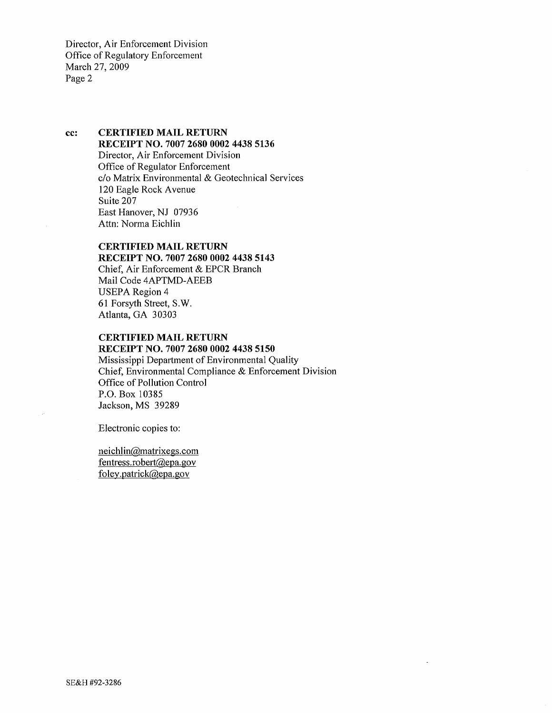Director, Air Enforcement Division Office of Regulatory Enforcement March 27, 2009 Page 2

#### **CERTIFIED MAIL RETURN** cc: RECEIPT NO. 7007 2680 0002 4438 5136 Director, Air Enforcement Division

Office of Regulator Enforcement c/o Matrix Environmental & Geotechnical Services 120 Eagle Rock Avenue Suite 207 East Hanover, NJ 07936 Attn: Norma Eichlin

### **CERTIFIED MAIL RETURN**

### RECEIPT NO. 7007 2680 0002 4438 5143

Chief. Air Enforcement & EPCR Branch Mail Code 4APTMD-AEEB **USEPA** Region 4 61 Forsyth Street, S.W. Atlanta, GA 30303

### **CERTIFIED MAIL RETURN**

#### RECEIPT NO. 7007 2680 0002 4438 5150

Mississippi Department of Environmental Quality Chief, Environmental Compliance & Enforcement Division Office of Pollution Control P.O. Box 10385 Jackson, MS 39289

Electronic copies to:

iji.

neichlin@matrixegs.com fentress.robert@epa.gov foley.patrick@epa.gov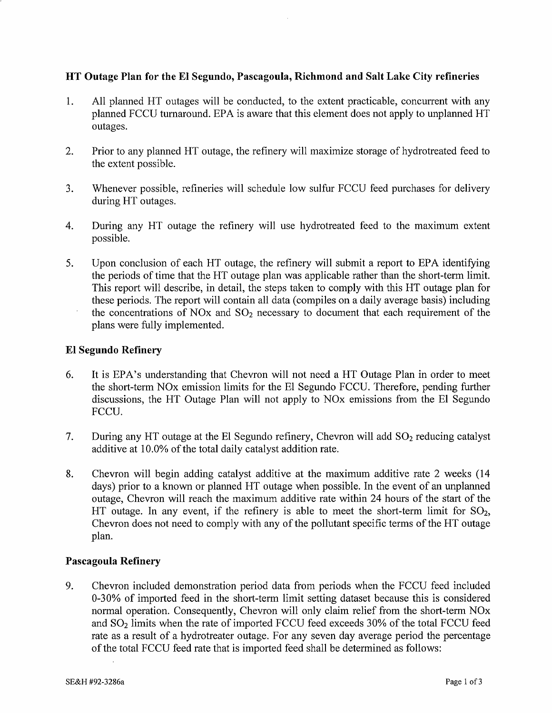### HT Outage Plan for the El Segundo, Pascagoula, Richmond and Salt Lake City refineries

- All planned HT outages will be conducted, to the extent practicable, concurrent with any  $1.$ planned FCCU turnaround. EPA is aware that this element does not apply to unplanned HT outages.
- Prior to any planned HT outage, the refinery will maximize storage of hydrotreated feed to 2. the extent possible.
- Whenever possible, refineries will schedule low sulfur FCCU feed purchases for delivery  $\overline{3}$ . during HT outages.
- 4. During any HT outage the refinery will use hydrotreated feed to the maximum extent possible.
- Upon conclusion of each HT outage, the refinery will submit a report to EPA identifying 5. the periods of time that the HT outage plan was applicable rather than the short-term limit. This report will describe, in detail, the steps taken to comply with this HT outage plan for these periods. The report will contain all data (compiles on a daily average basis) including the concentrations of NO<sub>x</sub> and  $SO_2$  necessary to document that each requirement of the plans were fully implemented.

### **El Segundo Refinery**

- 6. It is EPA's understanding that Chevron will not need a HT Outage Plan in order to meet the short-term NO<sub>x</sub> emission limits for the El Segundo FCCU. Therefore, pending further discussions, the HT Outage Plan will not apply to NO<sub>x</sub> emissions from the El Segundo FCCU.
- $7.$ During any HT outage at the El Segundo refinery, Chevron will add  $SO<sub>2</sub>$  reducing catalyst additive at 10.0% of the total daily catalyst addition rate.
- 8. Chevron will begin adding catalyst additive at the maximum additive rate 2 weeks (14) days) prior to a known or planned HT outage when possible. In the event of an unplanned outage. Chevron will reach the maximum additive rate within 24 hours of the start of the HT outage. In any event, if the refinery is able to meet the short-term limit for  $SO_2$ , Chevron does not need to comply with any of the pollutant specific terms of the HT outage plan.

### Pascagoula Refinery

9. Chevron included demonstration period data from periods when the FCCU feed included 0-30% of imported feed in the short-term limit setting dataset because this is considered normal operation. Consequently, Chevron will only claim relief from the short-term NO<sub>x</sub> and SO<sub>2</sub> limits when the rate of imported FCCU feed exceeds 30% of the total FCCU feed rate as a result of a hydrotreater outage. For any seven day average period the percentage of the total FCCU feed rate that is imported feed shall be determined as follows: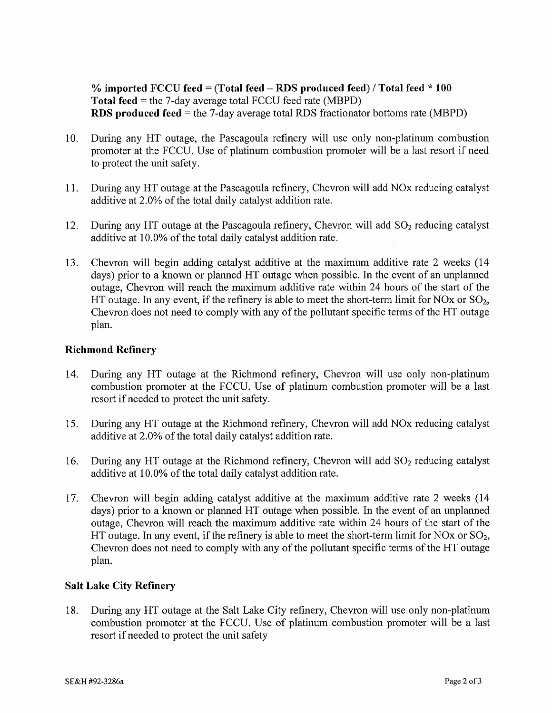$%$  imported FCCU feed = (Total feed – RDS produced feed) / Total feed \* 100 **Total feed** = the 7-day average total FCCU feed rate (MBPD) RDS produced feed = the 7-day average total RDS fractionator bottoms rate (MBPD)

- $10.$ During any HT outage, the Pascagoula refinery will use only non-platinum combustion promoter at the FCCU. Use of platinum combustion promoter will be a last resort if need to protect the unit safety.
- During any HT outage at the Pascagoula refinery, Chevron will add NOx reducing catalyst  $11.$ additive at 2.0% of the total daily catalyst addition rate.
- During any HT outage at the Pascagoula refinery, Chevron will add  $SO<sub>2</sub>$  reducing catalyst  $12.$ additive at 10.0% of the total daily catalyst addition rate.
- $13.$ Chevron will begin adding catalyst additive at the maximum additive rate 2 weeks (14) days) prior to a known or planned HT outage when possible. In the event of an unplanned outage. Chevron will reach the maximum additive rate within 24 hours of the start of the HT outage. In any event, if the refinery is able to meet the short-term limit for NOx or  $SO_2$ , Chevron does not need to comply with any of the pollutant specific terms of the HT outage plan.

### **Richmond Refinery**

- 14. During any HT outage at the Richmond refinery, Chevron will use only non-platinum combustion promoter at the FCCU. Use of platinum combustion promoter will be a last resort if needed to protect the unit safety.
- 15. During any HT outage at the Richmond refinery, Chevron will add NO<sub>x</sub> reducing catalyst additive at 2.0% of the total daily catalyst addition rate.
- During any HT outage at the Richmond refinery, Chevron will add  $SO<sub>2</sub>$  reducing catalyst  $16.$ additive at 10.0% of the total daily catalyst addition rate.
- Chevron will begin adding catalyst additive at the maximum additive rate 2 weeks (14) 17. days) prior to a known or planned HT outage when possible. In the event of an unplanned outage. Chevron will reach the maximum additive rate within 24 hours of the start of the HT outage. In any event, if the refinery is able to meet the short-term limit for NOx or  $SO_2$ , Chevron does not need to comply with any of the pollutant specific terms of the HT outage plan.

### **Salt Lake City Refinery**

During any HT outage at the Salt Lake City refinery, Chevron will use only non-platinum 18. combustion promoter at the FCCU. Use of platinum combustion promoter will be a last resort if needed to protect the unit safety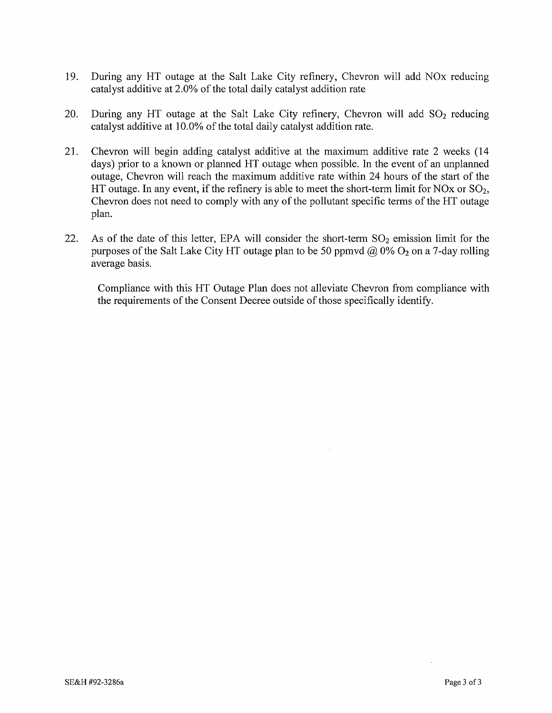- 19. During any HT outage at the Salt Lake City refinery, Chevron will add NO<sub>x</sub> reducing catalyst additive at 2.0% of the total daily catalyst addition rate
- 20. During any HT outage at the Salt Lake City refinery, Chevron will add  $SO_2$  reducing catalyst additive at 10.0% of the total daily catalyst addition rate.
- $21.$ Chevron will begin adding catalyst additive at the maximum additive rate 2 weeks (14) days) prior to a known or planned HT outage when possible. In the event of an unplanned outage, Chevron will reach the maximum additive rate within 24 hours of the start of the HT outage. In any event, if the refinery is able to meet the short-term limit for NOx or  $SO<sub>2</sub>$ , Chevron does not need to comply with any of the pollutant specific terms of the HT outage plan.
- As of the date of this letter, EPA will consider the short-term  $SO_2$  emission limit for the 22. purposes of the Salt Lake City HT outage plan to be 50 ppmvd  $(a)$  0%  $O_2$  on a 7-day rolling average basis.

Compliance with this HT Outage Plan does not alleviate Chevron from compliance with the requirements of the Consent Decree outside of those specifically identify.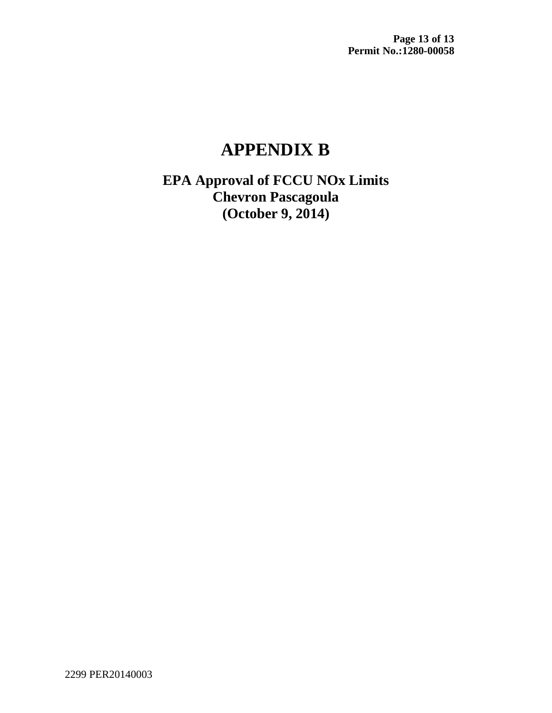## **APPENDIX B**

**EPA Approval of FCCU NOx Limits Chevron Pascagoula (October 9, 2014)**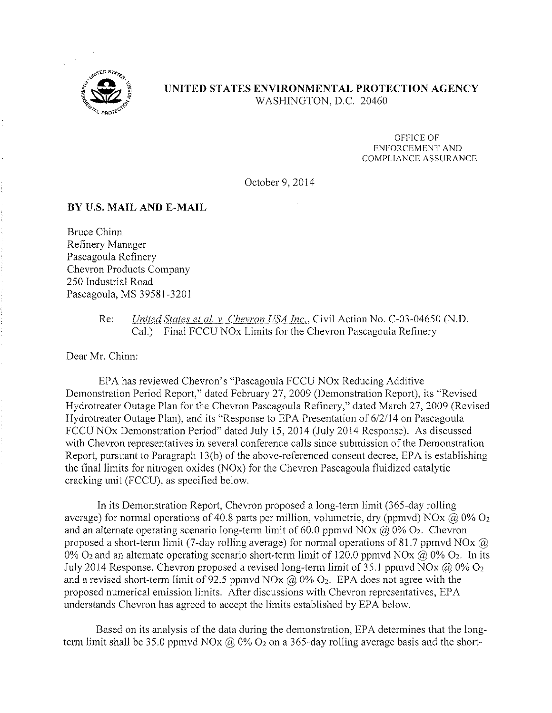

### UNITED STATES ENVIRONMENTAL PROTECTION AGENCY WASHINGTON, D.C. 20460

OFFICE OF **ENFORCEMENT AND** COMPLIANCE ASSURANCE

October 9, 2014

### BY U.S. MAIL AND E-MAIL

**Bruce Chinn** Refinery Manager Pascagoula Refinery **Chevron Products Company** 250 Industrial Road Pascagoula, MS 39581-3201

> $Re:$ United States et al. v. Chevron USA Inc., Civil Action No. C-03-04650 (N.D. Cal.) - Final FCCU NOx Limits for the Chevron Pascagoula Refinery

Dear Mr. Chinn:

EPA has reviewed Chevron's "Pascagoula FCCU NOx Reducing Additive Demonstration Period Report," dated February 27, 2009 (Demonstration Report), its "Revised Hydrotreater Outage Plan for the Chevron Pascagoula Refinery," dated March 27, 2009 (Revised Hydrotreater Outage Plan), and its "Response to EPA Presentation of 6/2/14 on Pascagoula FCCU NOx Demonstration Period" dated July 15, 2014 (July 2014 Response). As discussed with Chevron representatives in several conference calls since submission of the Demonstration Report, pursuant to Paragraph 13(b) of the above-referenced consent decree, EPA is establishing the final limits for nitrogen oxides (NOx) for the Chevron Pascagoula fluidized catalytic cracking unit (FCCU), as specified below.

In its Demonstration Report, Chevron proposed a long-term limit (365-day rolling average) for normal operations of 40.8 parts per million, volumetric, dry (ppmvd) NOx @  $0\%$  O<sub>2</sub> and an alternate operating scenario long-term limit of 60.0 ppmvd NOx @ 0% O<sub>2</sub>. Chevron proposed a short-term limit (7-day rolling average) for normal operations of 81.7 ppmvd NOx  $@$ 0% O<sub>2</sub> and an alternate operating scenario short-term limit of 120.0 ppmvd NOx @ 0% O<sub>2</sub>. In its July 2014 Response, Chevron proposed a revised long-term limit of 35.1 ppmvd NOx @ 0% O<sub>2</sub> and a revised short-term limit of 92.5 ppmvd NOx @  $0\%$  O<sub>2</sub>. EPA does not agree with the proposed numerical emission limits. After discussions with Chevron representatives, EPA understands Chevron has agreed to accept the limits established by EPA below.

Based on its analysis of the data during the demonstration, EPA determines that the longterm limit shall be 35.0 ppmvd NOx @  $0\%$  O<sub>2</sub> on a 365-day rolling average basis and the short-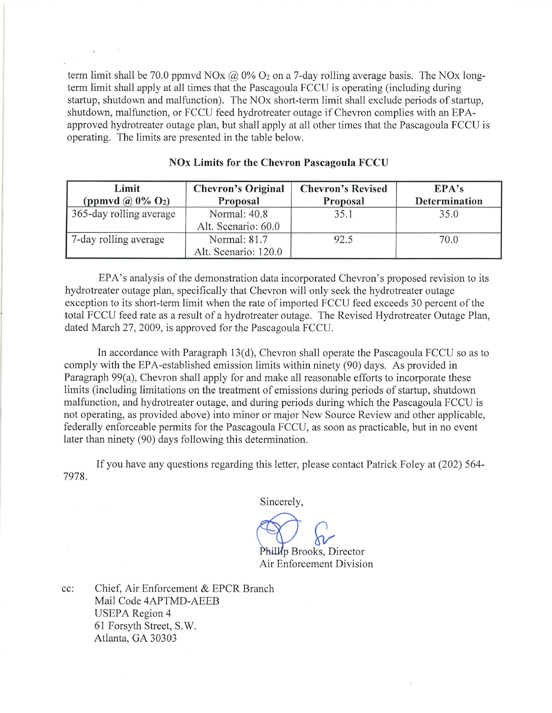term limit shall be 70.0 ppmvd NOx @  $0\%$  O<sub>2</sub> on a 7-day rolling average basis. The NOx longterm limit shall apply at all times that the Pascagoula FCCU is operating (including during startup, shutdown and malfunction). The NOx short-term limit shall exclude periods of startup, shutdown, malfunction, or FCCU feed hydrotreater outage if Chevron complies with an EPAapproved hydrotreater outage plan, but shall apply at all other times that the Pascagoula FCCU is operating. The limits are presented in the table below.

| Limit<br>(ppmvd $\omega$ 0% O <sub>2</sub> ) | <b>Chevron's Original</b><br>Proposal | <b>Chevron's Revised</b><br>Proposal | EPA's<br>Determination |
|----------------------------------------------|---------------------------------------|--------------------------------------|------------------------|
| 365-day rolling average                      | Normal: 40.8<br>Alt. Scenario: 60.0   | 35.1                                 | 35.0                   |
| 7-day rolling average                        | Normal: 81.7<br>Alt. Scenario: 120.0  | 92.5                                 | 70.0                   |

### **NOx Limits for the Chevron Pascagoula FCCU**

EPA's analysis of the demonstration data incorporated Chevron's proposed revision to its hydrotreater outage plan, specifically that Chevron will only seek the hydrotreater outage exception to its short-term limit when the rate of imported FCCU feed exceeds 30 percent of the total FCCU feed rate as a result of a hydrotreater outage. The Revised Hydrotreater Outage Plan, dated March 27, 2009, is approved for the Pascagoula FCCU.

In accordance with Paragraph 13(d), Chevron shall operate the Pascagoula FCCU so as to comply with the EPA-established emission limits within ninety (90) days. As provided in Paragraph 99(a), Chevron shall apply for and make all reasonable efforts to incorporate these limits (including limitations on the treatment of emissions during periods of startup, shutdown malfunction, and hydrotreater outage, and during periods during which the Pascagoula FCCU is not operating, as provided above) into minor or major New Source Review and other applicable, federally enforceable permits for the Pascagoula FCCU, as soon as practicable, but in no event later than ninety (90) days following this determination.

If you have any questions regarding this letter, please contact Patrick Foley at (202) 564-7978.

Sincerely,

Phillip Brooks, Director Air Enforcement Division

cc: Chief, Air Enforcement & EPCR Branch Mail Code 4APTMD-AEEB **USEPA Region 4** 61 Forsyth Street, S.W. Atlanta, GA 30303